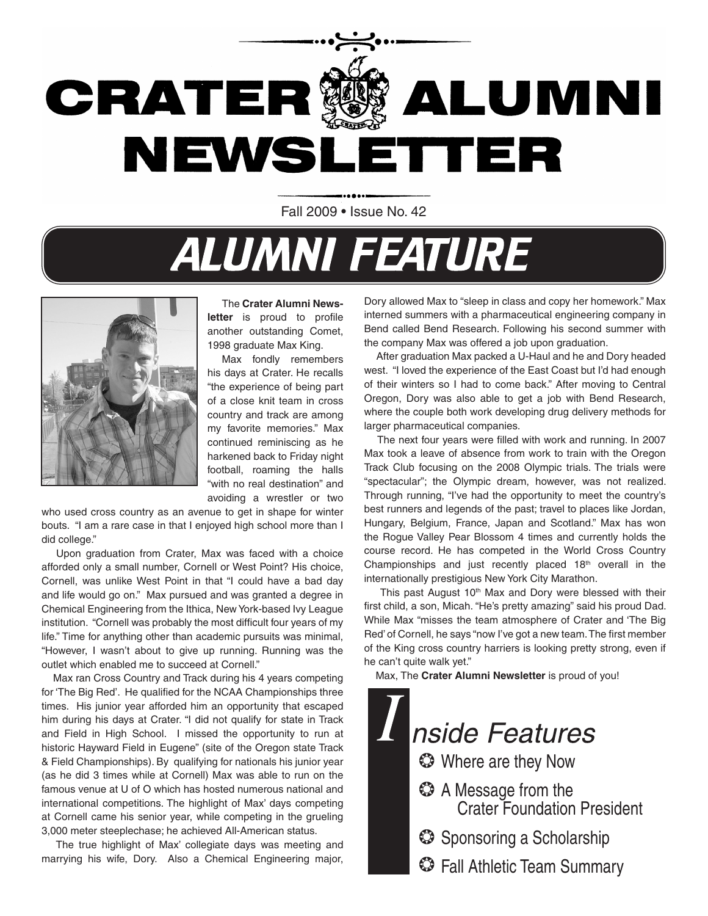

Fall 2009 • Issue No. 42

# **ALUMNI FEATURE**



The **Crater Alumni Newsletter** is proud to profile another outstanding Comet, 1998 graduate Max King.

Max fondly remembers his days at Crater. He recalls "the experience of being part of a close knit team in cross country and track are among my favorite memories." Max continued reminiscing as he harkened back to Friday night football, roaming the halls "with no real destination" and avoiding a wrestler or two

who used cross country as an avenue to get in shape for winter bouts. "I am a rare case in that I enjoyed high school more than I did college."

 Upon graduation from Crater, Max was faced with a choice afforded only a small number, Cornell or West Point? His choice, Cornell, was unlike West Point in that "I could have a bad day and life would go on." Max pursued and was granted a degree in Chemical Engineering from the Ithica, New York-based Ivy League institution. "Cornell was probably the most difficult four years of my life." Time for anything other than academic pursuits was minimal, "However, I wasn't about to give up running. Running was the outlet which enabled me to succeed at Cornell."

 Max ran Cross Country and Track during his 4 years competing for 'The Big Red'. He qualified for the NCAA Championships three times. His junior year afforded him an opportunity that escaped him during his days at Crater. "I did not qualify for state in Track and Field in High School. I missed the opportunity to run at historic Hayward Field in Eugene" (site of the Oregon state Track & Field Championships). By qualifying for nationals his junior year (as he did 3 times while at Cornell) Max was able to run on the famous venue at U of O which has hosted numerous national and international competitions. The highlight of Max' days competing at Cornell came his senior year, while competing in the grueling 3,000 meter steeplechase; he achieved All-American status.

 The true highlight of Max' collegiate days was meeting and marrying his wife, Dory. Also a Chemical Engineering major,

Dory allowed Max to "sleep in class and copy her homework." Max interned summers with a pharmaceutical engineering company in Bend called Bend Research. Following his second summer with the company Max was offered a job upon graduation.

 After graduation Max packed a U-Haul and he and Dory headed west. "I loved the experience of the East Coast but I'd had enough of their winters so I had to come back." After moving to Central Oregon, Dory was also able to get a job with Bend Research, where the couple both work developing drug delivery methods for larger pharmaceutical companies.

 The next four years were filled with work and running. In 2007 Max took a leave of absence from work to train with the Oregon Track Club focusing on the 2008 Olympic trials. The trials were "spectacular"; the Olympic dream, however, was not realized. Through running, "I've had the opportunity to meet the country's best runners and legends of the past; travel to places like Jordan, Hungary, Belgium, France, Japan and Scotland." Max has won the Rogue Valley Pear Blossom 4 times and currently holds the course record. He has competed in the World Cross Country Championships and just recently placed  $18<sup>th</sup>$  overall in the internationally prestigious New York City Marathon.

This past August 10<sup>th</sup> Max and Dory were blessed with their first child, a son, Micah. "He's pretty amazing" said his proud Dad. While Max "misses the team atmosphere of Crater and 'The Big Red' of Cornell, he says "now I've got a new team. The first member of the King cross country harriers is looking pretty strong, even if he can't quite walk yet."

Max, The **Crater Alumni Newsletter** is proud of you!

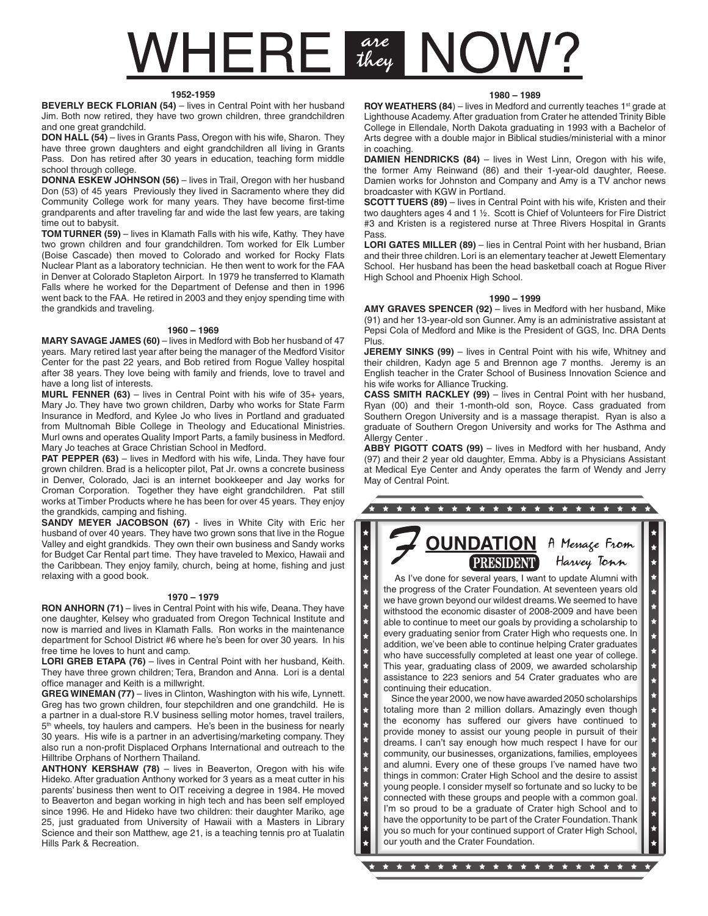# $VHERE$   $\frac{are}{they}$

#### **1952-1959**

**BEVERLY BECK FLORIAN (54)** – lives in Central Point with her husband Jim. Both now retired, they have two grown children, three grandchildren and one great grandchild.

**DON HALL (54)** – lives in Grants Pass, Oregon with his wife, Sharon. They have three grown daughters and eight grandchildren all living in Grants Pass. Don has retired after 30 years in education, teaching form middle school through college.

**DONNA ESKEW JOHNSON (56)** – lives in Trail, Oregon with her husband Don (53) of 45 years Previously they lived in Sacramento where they did Community College work for many years. They have become first-time grandparents and after traveling far and wide the last few years, are taking time out to babysit.

**TOM TURNER (59)** – lives in Klamath Falls with his wife, Kathy. They have two grown children and four grandchildren. Tom worked for Elk Lumber (Boise Cascade) then moved to Colorado and worked for Rocky Flats Nuclear Plant as a laboratory technician. He then went to work for the FAA in Denver at Colorado Stapleton Airport. In 1979 he transferred to Klamath Falls where he worked for the Department of Defense and then in 1996 went back to the FAA. He retired in 2003 and they enjoy spending time with the grandkids and traveling.

#### **1960 – 1969**

**MARY SAVAGE JAMES (60)** – lives in Medford with Bob her husband of 47 years. Mary retired last year after being the manager of the Medford Visitor Center for the past 22 years, and Bob retired from Rogue Valley hospital after 38 years. They love being with family and friends, love to travel and have a long list of interests.

**MURL FENNER (63)** – lives in Central Point with his wife of 35+ years, Mary Jo. They have two grown children, Darby who works for State Farm Insurance in Medford, and Kylee Jo who lives in Portland and graduated from Multnomah Bible College in Theology and Educational Ministries. Murl owns and operates Quality Import Parts, a family business in Medford. Mary Jo teaches at Grace Christian School in Medford.

**PAT PEPPER (63)** – lives in Medford with his wife, Linda. They have four grown children. Brad is a helicopter pilot, Pat Jr. owns a concrete business in Denver, Colorado, Jaci is an internet bookkeeper and Jay works for Croman Corporation. Together they have eight grandchildren. Pat still works at Timber Products where he has been for over 45 years. They enjoy the grandkids, camping and fishing.

**SANDY MEYER JACOBSON (67)** - lives in White City with Eric her husband of over 40 years. They have two grown sons that live in the Rogue Valley and eight grandkids. They own their own business and Sandy works for Budget Car Rental part time. They have traveled to Mexico, Hawaii and the Caribbean. They enjoy family, church, being at home, fishing and just relaxing with a good book.

#### **1970 – 1979**

**RON ANHORN (71)** – lives in Central Point with his wife, Deana. They have one daughter, Kelsey who graduated from Oregon Technical Institute and now is married and lives in Klamath Falls. Ron works in the maintenance department for School District #6 where he's been for over 30 years. In his free time he loves to hunt and camp.

LORI GREB ETAPA (76) – lives in Central Point with her husband, Keith. They have three grown children; Tera, Brandon and Anna. Lori is a dental office manager and Keith is a millwright.

**GREG WINEMAN (77)** – lives in Clinton, Washington with his wife, Lynnett. Greg has two grown children, four stepchildren and one grandchild. He is a partner in a dual-store R.V business selling motor homes, travel trailers, 5<sup>th</sup> wheels, toy haulers and campers. He's been in the business for nearly 30 years. His wife is a partner in an advertising/marketing company. They also run a non-profit Displaced Orphans International and outreach to the Hilltribe Orphans of Northern Thailand.

**ANTHONY KERSHAW (78)** – lives in Beaverton, Oregon with his wife Hideko. After graduation Anthony worked for 3 years as a meat cutter in his parents' business then went to OIT receiving a degree in 1984. He moved to Beaverton and began working in high tech and has been self employed since 1996. He and Hideko have two children: their daughter Mariko, age 25, just graduated from University of Hawaii with a Masters in Library Science and their son Matthew, age 21, is a teaching tennis pro at Tualatin Hills Park & Recreation.

#### **1980 – 1989**

**ROY WEATHERS (84)** – lives in Medford and currently teaches 1<sup>st</sup> grade at Lighthouse Academy. After graduation from Crater he attended Trinity Bible College in Ellendale, North Dakota graduating in 1993 with a Bachelor of Arts degree with a double major in Biblical studies/ministerial with a minor in coaching.

**DAMIEN HENDRICKS (84)** – lives in West Linn, Oregon with his wife, the former Amy Reinwand (86) and their 1-year-old daughter, Reese. Damien works for Johnston and Company and Amy is a TV anchor news broadcaster with KGW in Portland.

**SCOTT TUERS (89)** – lives in Central Point with his wife, Kristen and their two daughters ages 4 and 1 ½. Scott is Chief of Volunteers for Fire District #3 and Kristen is a registered nurse at Three Rivers Hospital in Grants Pass.

**LORI GATES MILLER (89)** – lies in Central Point with her husband, Brian and their three children. Lori is an elementary teacher at Jewett Elementary School. Her husband has been the head basketball coach at Rogue River High School and Phoenix High School.

#### **1990 – 1999**

**AMY GRAVES SPENCER (92)** – lives in Medford with her husband, Mike (91) and her 13-year-old son Gunner. Amy is an administrative assistant at Pepsi Cola of Medford and Mike is the President of GGS, Inc. DRA Dents Plus.

**JEREMY SINKS (99)** – lives in Central Point with his wife, Whitney and their children, Kadyn age 5 and Brennon age 7 months. Jeremy is an English teacher in the Crater School of Business Innovation Science and his wife works for Alliance Trucking.

**CASS SMITH RACKLEY (99)** – lives in Central Point with her husband, Ryan (00) and their 1-month-old son, Royce. Cass graduated from Southern Oregon University and is a massage therapist. Ryan is also a graduate of Southern Oregon University and works for The Asthma and Allergy Center.

**ABBY PIGOTT COATS (99)** – lives in Medford with her husband, Andy (97) and their 2 year old daughter, Emma. Abby is a Physicians Assistant at Medical Eye Center and Andy operates the farm of Wendy and Jerry May of Central Point.

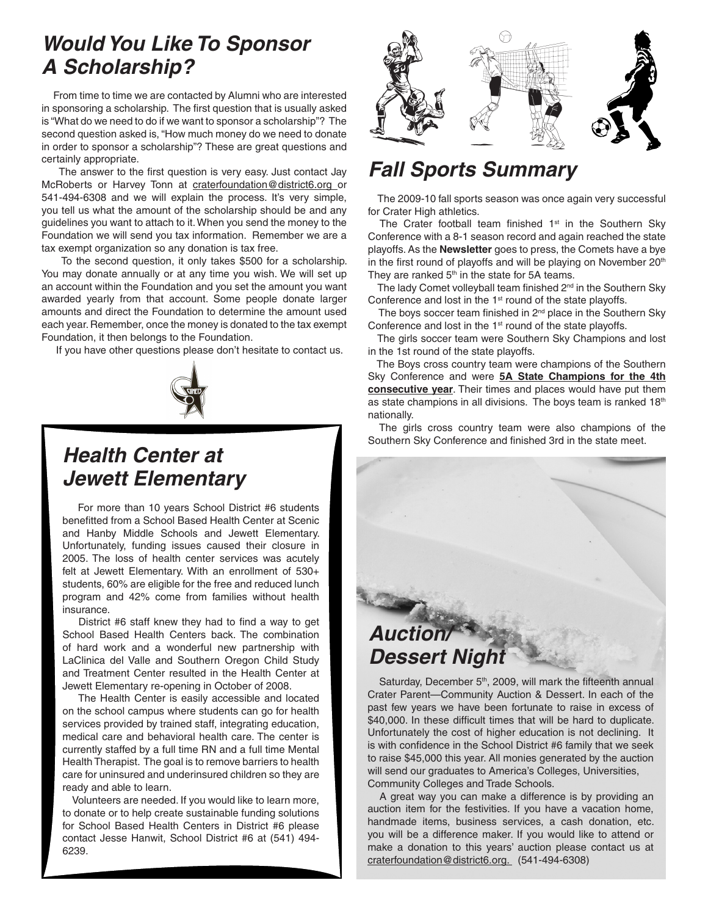# *Would You Like To Sponsor A Scholarship?*

 From time to time we are contacted by Alumni who are interested in sponsoring a scholarship. The first question that is usually asked is "What do we need to do if we want to sponsor a scholarship"? The second question asked is, "How much money do we need to donate in order to sponsor a scholarship"? These are great questions and certainly appropriate.

 The answer to the first question is very easy. Just contact Jay McRoberts or Harvey Tonn at craterfoundation@district6.org or 541-494-6308 and we will explain the process. It's very simple, you tell us what the amount of the scholarship should be and any guidelines you want to attach to it. When you send the money to the Foundation we will send you tax information. Remember we are a tax exempt organization so any donation is tax free.

 To the second question, it only takes \$500 for a scholarship. You may donate annually or at any time you wish. We will set up an account within the Foundation and you set the amount you want awarded yearly from that account. Some people donate larger amounts and direct the Foundation to determine the amount used each year. Remember, once the money is donated to the tax exempt Foundation, it then belongs to the Foundation.

If you have other questions please don't hesitate to contact us.



# *Health Center at Jewett Elementary*

 For more than 10 years School District #6 students benefitted from a School Based Health Center at Scenic and Hanby Middle Schools and Jewett Elementary. Unfortunately, funding issues caused their closure in 2005. The loss of health center services was acutely felt at Jewett Elementary. With an enrollment of 530+ students, 60% are eligible for the free and reduced lunch program and 42% come from families without health insurance.

 District #6 staff knew they had to find a way to get School Based Health Centers back. The combination of hard work and a wonderful new partnership with LaClinica del Valle and Southern Oregon Child Study and Treatment Center resulted in the Health Center at Jewett Elementary re-opening in October of 2008.

 The Health Center is easily accessible and located on the school campus where students can go for health services provided by trained staff, integrating education, medical care and behavioral health care. The center is currently staffed by a full time RN and a full time Mental Health Therapist. The goal is to remove barriers to health care for uninsured and underinsured children so they are ready and able to learn.

 Volunteers are needed. If you would like to learn more, to donate or to help create sustainable funding solutions for School Based Health Centers in District #6 please contact Jesse Hanwit, School District #6 at (541) 494- 6239.



# *Fall Sports Summary*

 The 2009-10 fall sports season was once again very successful for Crater High athletics.

The Crater football team finished  $1<sup>st</sup>$  in the Southern Sky Conference with a 8-1 season record and again reached the state playoffs. As the **Newsletter** goes to press, the Comets have a bye in the first round of playoffs and will be playing on November 20<sup>th</sup> They are ranked  $5<sup>th</sup>$  in the state for 5A teams.

The lady Comet volleyball team finished 2<sup>nd</sup> in the Southern Sky Conference and lost in the 1<sup>st</sup> round of the state playoffs.

The boys soccer team finished in  $2<sup>nd</sup>$  place in the Southern Sky Conference and lost in the 1<sup>st</sup> round of the state playoffs.

 The girls soccer team were Southern Sky Champions and lost in the 1st round of the state playoffs.

 The Boys cross country team were champions of the Southern Sky Conference and were **5A State Champions for the 4th consecutive year**. Their times and places would have put them as state champions in all divisions. The boys team is ranked 18th nationally.

 The girls cross country team were also champions of the Southern Sky Conference and finished 3rd in the state meet.

# *Auction/ Dessert Night*

Saturday, December 5<sup>th</sup>, 2009, will mark the fifteenth annual Crater Parent—Community Auction & Dessert. In each of the past few years we have been fortunate to raise in excess of \$40,000. In these difficult times that will be hard to duplicate. Unfortunately the cost of higher education is not declining. It is with confidence in the School District #6 family that we seek to raise \$45,000 this year. All monies generated by the auction will send our graduates to America's Colleges, Universities, Community Colleges and Trade Schools.

 A great way you can make a difference is by providing an auction item for the festivities. If you have a vacation home, handmade items, business services, a cash donation, etc. you will be a difference maker. If you would like to attend or make a donation to this years' auction please contact us at craterfoundation@district6.org. (541-494-6308)